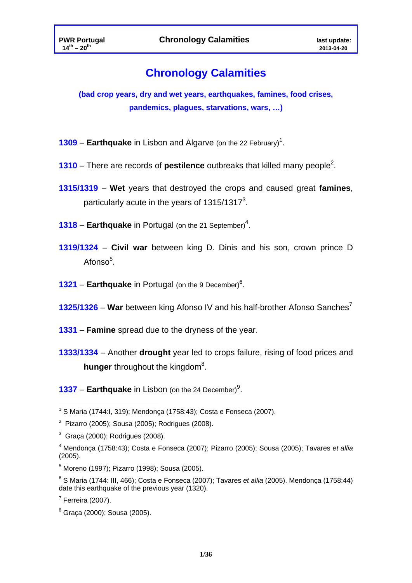# **Chronology Calamities**

**(bad crop years, dry and wet years, earthquakes, famines, food crises, pandemics, plagues, starvations, wars, …)** 

- **1309 Earthquake** in Lisbon and Algarve (on the 22 February)<sup>1</sup>.
- **1310** There are records of **pestilence** outbreaks that killed many people<sup>2</sup>.
- **1315/1319 Wet** years that destroyed the crops and caused great **famines**, particularly acute in the years of 1315/1317<sup>3</sup>.
- 1318 Earthquake in Portugal (on the 21 September)<sup>4</sup>.
- **1319/1324 Civil war** between king D. Dinis and his son, crown prince D Afonso<sup>5</sup>.
- **1321 Earthquake** in Portugal (on the 9 December)<sup>6</sup>.
- **1325/1326 War** between king Afonso IV and his half-brother Afonso Sanches7
- **1331 Famine** spread due to the dryness of the year.
- **1333/1334**  Another **drought** year led to crops failure, rising of food prices and **hunger** throughout the kingdom<sup>8</sup>.
- **1337 Earthquake** in Lisbon (on the 24 December)<sup>9</sup>.

 1 S Maria (1744:I, 319); Mendonça (1758:43); Costa e Fonseca (2007).

<sup>&</sup>lt;sup>2</sup> Pizarro (2005); Sousa (2005); Rodrigues (2008).

 $3$  Graça (2000); Rodrigues (2008).

<sup>4</sup> Mendonça (1758:43); Costa e Fonseca (2007); Pizarro (2005); Sousa (2005); Tavares *et allia* (2005).

<sup>5</sup> Moreno (1997); Pizarro (1998); Sousa (2005).

<sup>6</sup> S Maria (1744: III, 466); Costa e Fonseca (2007); Tavares *et allia* (2005). Mendonça (1758:44) date this earthquake of the previous year (1320).

 $7$  Ferreira (2007).

<sup>8</sup> Graça (2000); Sousa (2005).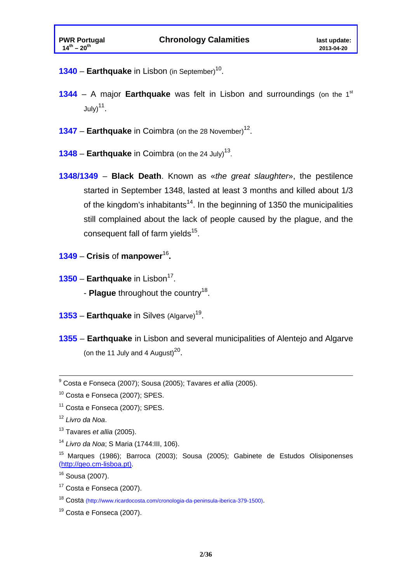- **1340 Earthquake** in Lisbon (in September)<sup>10</sup>.
- **1344** A major **Earthquake** was felt in Lisbon and surroundings (on the 1<sup>st</sup>  $July)<sup>11</sup>$ .
- **1347 Earthquake** in Coimbra (on the 28 November)<sup>12</sup>.
- **1348 Earthquake** in Coimbra (on the 24 July)<sup>13</sup>.
- **1348/1349 Black Death**. Known as «*the great slaughter*», the pestilence started in September 1348, lasted at least 3 months and killed about 1/3 of the kingdom's inhabitants<sup>14</sup>. In the beginning of 1350 the municipalities still complained about the lack of people caused by the plague, and the consequent fall of farm yields $15$ .
- **1349 Crisis** of **manpower**<sup>16</sup>**.**
- **1350 Earthquake** in Lisbon<sup>17</sup>. - **Plague** throughout the country<sup>18</sup>.
	-
- **1353 Earthquake** in Silves (Algarve)<sup>19</sup>.
- **1355** – **Earthquake** in Lisbon and several municipalities of Alentejo and Algarve (on the 11 July and 4 August) $^{20}$ .

9 Costa e Fonseca (2007); Sousa (2005); Tavares *et allia* (2005).

<sup>10</sup> Costa e Fonseca (2007); SPES.

<sup>&</sup>lt;sup>11</sup> Costa e Fonseca (2007); SPES.

<sup>12</sup> *Livro da Noa*.

<sup>13</sup> Tavares *et allia* (2005).

<sup>14</sup> *Livro da Noa*; S Maria (1744:III, 106).

<sup>15</sup> Marques (1986); Barroca (2003); Sousa (2005); Gabinete de Estudos Olisiponenses (http://geo.cm-lisboa.pt).

<sup>16</sup> Sousa (2007).

 $17$  Costa e Fonseca (2007).

<sup>18</sup> Costa (http://www.ricardocosta.com/cronologia-da-peninsula-iberica-379-1500).

<sup>&</sup>lt;sup>19</sup> Costa e Fonseca (2007).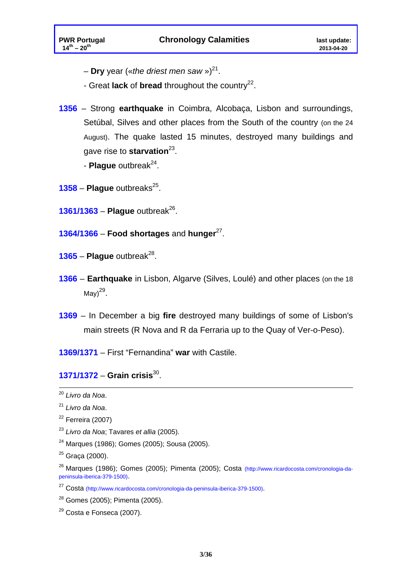- **Dry** year («*the driest men saw* »)<sup>21</sup>.
- Great **lack** of **bread** throughout the country<sup>22</sup>.
- **1356**  Strong **earthquake** in Coimbra, Alcobaça, Lisbon and surroundings, Setúbal, Silves and other places from the South of the country (on the 24 August). The quake lasted 15 minutes, destroyed many buildings and gave rise to **starvation**23.
	- **Plaque** outbreak<sup>24</sup>.
- $1358$  **Plague** outbreaks<sup>25</sup>.
- **1361/1363 Plague** outbreak<sup>26</sup>.
- **1364/1366 Food shortages** and **hunger**27.
- $1365$  **Plaque** outbreak<sup>28</sup>.
- **1366** – **Earthquake** in Lisbon, Algarve (Silves, Loulé) and other places (on the 18 May $)^{29}$ .
- **1369**  In December a big **fire** destroyed many buildings of some of Lisbon's main streets (R Nova and R da Ferraria up to the Quay of Ver-o-Peso).

**1369/1371** – First "Fernandina" **war** with Castile.

#### **1371/1372** – **Grain crisis**30.

- <sup>23</sup> *Livro da Noa*; Tavares *et allia* (2005).
- 24 Marques (1986); Gomes (2005); Sousa (2005).

<sup>20</sup> *Livro da Noa*.

<sup>21</sup> *Livro da Noa*.

 $22$  Ferreira (2007)

 $25$  Graca (2000).

<sup>26</sup> Marques (1986); Gomes (2005); Pimenta (2005); Costa (http://www.ricardocosta.com/cronologia-dapeninsula-iberica-379-1500).

<sup>27</sup> Costa (http://www.ricardocosta.com/cronologia-da-peninsula-iberica-379-1500).

<sup>28</sup> Gomes (2005); Pimenta (2005).

<sup>29</sup> Costa e Fonseca (2007).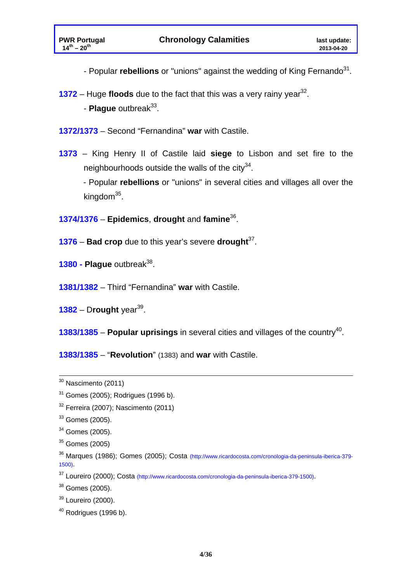- Popular *rebellions* or "unions" against the wedding of King Fernando<sup>31</sup>.

- **1372** Huge **floods** due to the fact that this was a very rainy year<sup>32</sup>.
	- **Plaque** outbreak<sup>33</sup>.
- **1372/1373**  Second "Fernandina" **war** with Castile.
- **1373**  King Henry II of Castile laid **siege** to Lisbon and set fire to the neighbourhoods outside the walls of the city $34$ .

- Popular **rebellions** or "unions" in several cities and villages all over the kingdom $35$ .

- **1374/1376 Epidemics**, **drought** and **famine**36.
- **1376 Bad crop** due to this year's severe **drought**37.
- **1380 Plaque** outbreak<sup>38</sup>.
- **1381/1382**  Third "Fernandina" **war** with Castile.
- **1382**  D**rought** year39.
- **1383/1385 Popular uprisings** in several cities and villages of the country<sup>40</sup>.

**1383/1385** – "**Revolution**" (1383) and **war** with Castile.

 $40$  Rodrigues (1996 b).

30 Nascimento (2011)

 $31$  Gomes (2005); Rodrigues (1996 b).

 $32$  Ferreira (2007); Nascimento (2011)

 $33$  Gomes (2005).

<sup>34</sup> Gomes (2005).

<sup>35</sup> Gomes (2005)

<sup>36</sup> Marques (1986); Gomes (2005); Costa (http://www.ricardocosta.com/cronologia-da-peninsula-iberica-379- 1500).

<sup>37</sup> Loureiro (2000); Costa (http://www.ricardocosta.com/cronologia-da-peninsula-iberica-379-1500).

 $38$  Gomes (2005).

<sup>39</sup> Loureiro (2000).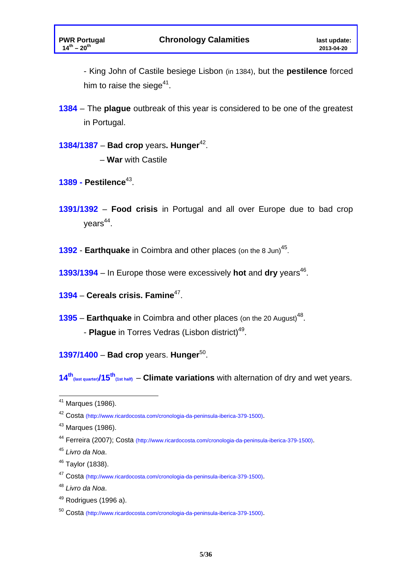- King John of Castile besiege Lisbon (in 1384), but the **pestilence** forced him to raise the siege $41$ .

**1384** – The **plague** outbreak of this year is considered to be one of the greatest in Portugal.

#### **1384/1387** – **Bad crop** years**. Hunger**42.

- **War** with Castile
- **1389 Pestilence**43.
- **1391/1392** – **Food crisis** in Portugal and all over Europe due to bad crop  $years<sup>44</sup>$ .
- **1392 Earthquake** in Coimbra and other places (on the 8 Jun)<sup>45</sup>.
- **1393/1394** In Europe those were excessively **hot** and dry years<sup>46</sup>.
- **1394** – **Cereals crisis. Famine**47.
- **1395 Earthquake** in Coimbra and other places (on the 20 August)<sup>48</sup>. - **Plague** in Torres Vedras (Lisbon district)<sup>49</sup>.
- **1397/1400** – **Bad crop** years. **Hunger**50.

14<sup>th</sup><sub>(last quarter)<sup>/15<sup>th</sup><sub>(1st half)</sub> – **Climate variations** with alternation of dry and wet years.</sub></sup>

<sup>&</sup>lt;sup>41</sup> Marques (1986).

<sup>42</sup> Costa (http://www.ricardocosta.com/cronologia-da-peninsula-iberica-379-1500).

 $43$  Marques (1986).

<sup>44</sup> Ferreira (2007); Costa (http://www.ricardocosta.com/cronologia-da-peninsula-iberica-379-1500).

<sup>45</sup> *Livro da Noa*.

<sup>46</sup> Taylor (1838).

<sup>47</sup> Costa (http://www.ricardocosta.com/cronologia-da-peninsula-iberica-379-1500).

<sup>48</sup> *Livro da Noa*.

 $49$  Rodrigues (1996 a).

<sup>50</sup> Costa (http://www.ricardocosta.com/cronologia-da-peninsula-iberica-379-1500).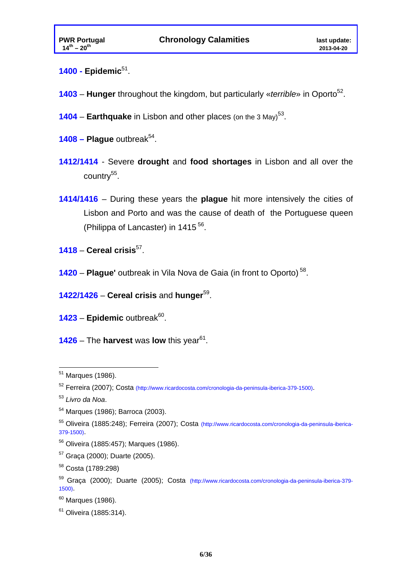- **1400 Epidemic**51.
- **1403 Hunger** throughout the kingdom, but particularly «*terrible*» in Oporto<sup>52</sup>.
- **1404 Earthquake** in Lisbon and other places (on the 3 May)<sup>53</sup>.
- $1408$  Plaque outbreak<sup>54</sup>.
- **1412/1414**  Severe **drought** and **food shortages** in Lisbon and all over the country $55$ .
- **1414/1416**  During these years the **plague** hit more intensively the cities of Lisbon and Porto and was the cause of death of the Portuguese queen (Philippa of Lancaster) in 1415<sup>56</sup>.
- **1418 Cereal crisis**57.
- **1420 Plague'** outbreak in Vila Nova de Gaia (in front to Oporto) 58.
- **1422/1426 Cereal crisis** and **hunger**59.
- 1423 Epidemic outbreak<sup>60</sup>.
- **1426** The **harvest** was **low** this year<sup>61</sup>.

<sup>&</sup>lt;sup>51</sup> Marques (1986).

<sup>52</sup> Ferreira (2007); Costa (http://www.ricardocosta.com/cronologia-da-peninsula-iberica-379-1500).

<sup>53</sup> *Livro da Noa*.

<sup>54</sup> Marques (1986); Barroca (2003).

<sup>55</sup> Oliveira (1885:248); Ferreira (2007); Costa (http://www.ricardocosta.com/cronologia-da-peninsula-iberica-379-1500).

<sup>56</sup> Oliveira (1885:457); Marques (1986).

<sup>57</sup> Graça (2000); Duarte (2005).

<sup>58</sup> Costa (1789:298)

<sup>59</sup> Graça (2000); Duarte (2005); Costa (http://www.ricardocosta.com/cronologia-da-peninsula-iberica-379- 1500).

 $60$  Marques (1986).

 $61$  Oliveira (1885:314).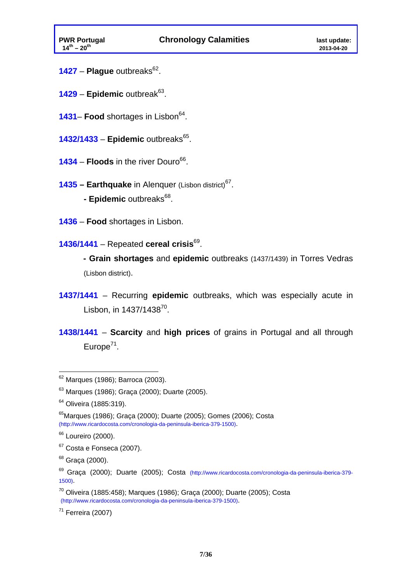- 1427 **Plague** outbreaks<sup>62</sup>.
- 1429 Epidemic outbreak<sup>63</sup>.
- 1431– **Food** shortages in Lisbon<sup>64</sup>.
- **1432/1433 Epidemic outbreaks<sup>65</sup>.**
- **1434 Floods** in the river Douro<sup>66</sup>.
- **1435 Earthquake** in Alenquer (Lisbon district)<sup>67</sup>. - Epidemic outbreaks<sup>68</sup>.
- **1436 Food** shortages in Lisbon.
- **1436/1441**  Repeated **cereal crisis**69.
	- **Grain shortages** and **epidemic** outbreaks (1437/1439) in Torres Vedras (Lisbon district).
- **1437/1441**  Recurring **epidemic** outbreaks, which was especially acute in Lisbon, in  $1437/1438^{70}$ .
- **1438/1441 Scarcity** and **high prices** of grains in Portugal and all through Europe $71$ .

 $62$  Marques (1986); Barroca (2003).

 $63$  Marques (1986); Graca (2000); Duarte (2005).

<sup>&</sup>lt;sup>64</sup> Oliveira (1885:319).

<sup>65</sup>Marques (1986); Graça (2000); Duarte (2005); Gomes (2006); Costa (http://www.ricardocosta.com/cronologia-da-peninsula-iberica-379-1500).

<sup>&</sup>lt;sup>66</sup> Loureiro (2000).

<sup>67</sup> Costa e Fonseca (2007).

 $68$  Graca (2000).

<sup>69</sup> Graça (2000); Duarte (2005); Costa (http://www.ricardocosta.com/cronologia-da-peninsula-iberica-379- 1500).

 $70$  Oliveira (1885:458); Marques (1986); Graça (2000); Duarte (2005); Costa (http://www.ricardocosta.com/cronologia-da-peninsula-iberica-379-1500).

 $71$  Ferreira (2007)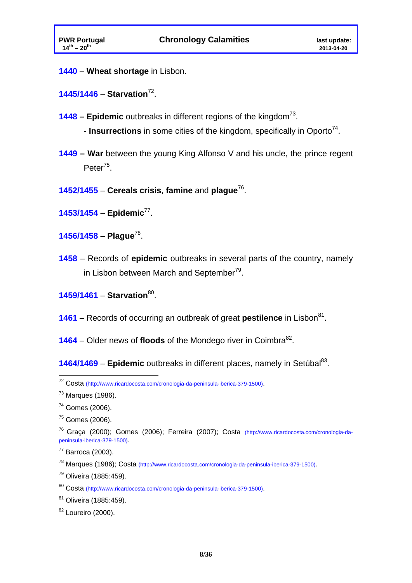**1440** – **Wheat shortage** in Lisbon.

**1445/1446** – **Starvation**72.

- **1448 Epidemic** outbreaks in different regions of the kingdom<sup>73</sup>.
	- **Insurrections** in some cities of the kingdom, specifically in Oporto<sup>74</sup>.
- **1449 War** between the young King Alfonso V and his uncle, the prince regent Peter<sup>75</sup>.
- **1452/1455** – **Cereals crisis**, **famine** and **plague**76.

**1453/1454** – **Epidemic**77.

- **1456/1458 Plague**78.
- **1458**  Records of **epidemic** outbreaks in several parts of the country, namely in Lisbon between March and September<sup>79</sup>.

**1459/1461** – **Starvation**80.

- **1461** Records of occurring an outbreak of great **pestilence** in Lisbon<sup>81</sup>.
- **1464** Older news of **floods** of the Mondego river in Coimbra<sup>82</sup>.

**1464/1469 – Epidemic** outbreaks in different places, namely in Setúbal<sup>83</sup>.

1

79 Oliveira (1885:459).

80 Costa (http://www.ricardocosta.com/cronologia-da-peninsula-iberica-379-1500).

<sup>&</sup>lt;sup>72</sup> Costa (http://www.ricardocosta.com/cronologia-da-peninsula-iberica-379-1500).

 $<sup>73</sup>$  Marques (1986).</sup>

<sup>74</sup> Gomes (2006).

 $75$  Gomes (2006).

<sup>76</sup> Graça (2000); Gomes (2006); Ferreira (2007); Costa (http://www.ricardocosta.com/cronologia-dapeninsula-iberica-379-1500).

 $77$  Barroca (2003).

<sup>78</sup> Marques (1986); Costa (http://www.ricardocosta.com/cronologia-da-peninsula-iberica-379-1500).

<sup>81</sup> Oliveira (1885:459).

<sup>82</sup> Loureiro (2000).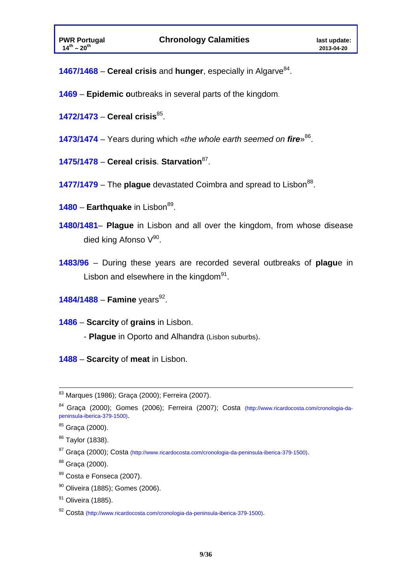**1467/1468** – **Cereal crisis** and **hunger**, especially in Algarve<sup>84</sup>.

- **1469 Epidemic o**utbreaks in several parts of the kingdom.
- **1472/1473 Cereal crisis**85.
- **1473/1474**  Years during which «*the whole earth seemed on fire*»86.
- **1475/1478 Cereal crisis**. **Starvation**87.
- **1477/1479** The **plaque** devastated Coimbra and spread to Lisbon<sup>88</sup>.
- **1480 Earthquake** in Lisbon<sup>89</sup>.
- **1480/1481 Plague** in Lisbon and all over the kingdom, from whose disease died king Afonso  $V^{90}$ .
- **1483/96**  During these years are recorded several outbreaks of **plagu**e in Lisbon and elsewhere in the kingdom $91$ .
- **1484/1488 Famine** years<sup>92</sup>.
- **1486 Scarcity** of **grains** in Lisbon.
	- **Plague** in Oporto and Alhandra (Lisbon suburbs).

**1488** – **Scarcity** of **meat** in Lisbon.

- 89 Costa e Fonseca (2007).
- 90 Oliveira (1885); Gomes (2006).

83 Marques (1986); Graça (2000); Ferreira (2007).

<sup>&</sup>lt;sup>84</sup> Graca (2000); Gomes (2006); Ferreira (2007); Costa (http://www.ricardocosta.com/cronologia-dapeninsula-iberica-379-1500).

<sup>85</sup> Graça (2000).

<sup>&</sup>lt;sup>86</sup> Taylor (1838).

<sup>87</sup> Graça (2000); Costa (http://www.ricardocosta.com/cronologia-da-peninsula-iberica-379-1500).

<sup>88</sup> Graça (2000).

<sup>&</sup>lt;sup>91</sup> Oliveira (1885).

<sup>92</sup> Costa (http://www.ricardocosta.com/cronologia-da-peninsula-iberica-379-1500).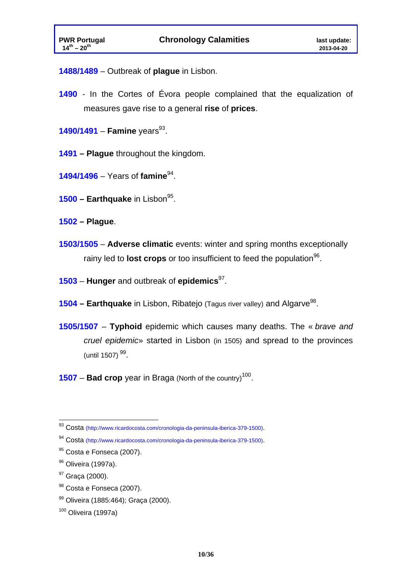**1488/1489** – Outbreak of **plague** in Lisbon.

- **1490**  In the Cortes of Évora people complained that the equalization of measures gave rise to a general **rise** of **prices**.
- **1490/1491 Famine** years<sup>93</sup>.
- **1491 Plague** throughout the kingdom.
- **1494/1496**  Years of **famine**94.
- **1500 Earthquake** in Lisbon<sup>95</sup>.
- **1502 Plague**.
- **1503/1505 Adverse climatic** events: winter and spring months exceptionally rainy led to **lost crops** or too insufficient to feed the population<sup>96</sup>.
- **1503 Hunger** and outbreak of **epidemics**97.
- **1504 Earthquake** in Lisbon, Ribatejo (Tagus river valley) and Algarve<sup>98</sup>.
- **1505/1507 Typhoid** epidemic which causes many deaths. The « *brave and cruel epidemic*» started in Lisbon (in 1505) and spread to the provinces (until  $1507$ )<sup>99</sup>.
- **1507 Bad crop** year in Braga (North of the country)<sup>100</sup>.

1

- 98 Costa e Fonseca (2007).
- 99 Oliveira (1885:464); Graça (2000).

<sup>&</sup>lt;sup>93</sup> Costa (http://www.ricardocosta.com/cronologia-da-peninsula-iberica-379-1500).

<sup>94</sup> Costa (http://www.ricardocosta.com/cronologia-da-peninsula-iberica-379-1500).

<sup>95</sup> Costa e Fonseca (2007).

<sup>&</sup>lt;sup>96</sup> Oliveira (1997a).

<sup>&</sup>lt;sup>97</sup> Graca (2000).

<sup>100</sup> Oliveira (1997a)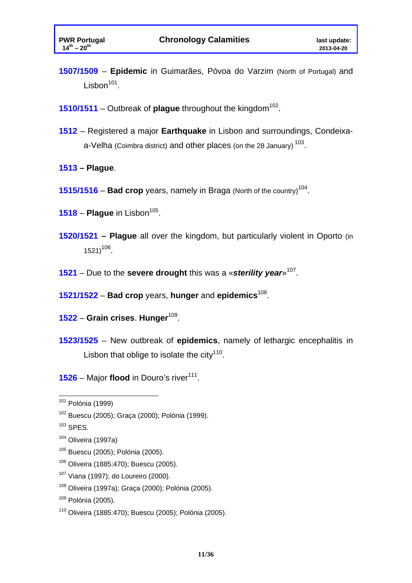- **1507/1509 Epidemic** in Guimarães, Póvoa do Varzim (North of Portugal) and Lisbon<sup>101</sup>.
- **1510/1511** Outbreak of **plague** throughout the kingdom<sup>102</sup>.
- **1512** Registered a major **Earthquake** in Lisbon and surroundings, Condeixaa-Velha (Coimbra district) and other places (on the 28 January) <sup>103</sup>.
- **1513 Plague**.
- **1515/1516 Bad crop** years, namely in Braga (North of the country)<sup>104</sup>.
- $1518$  **Plague** in Lisbon<sup>105</sup>.
- **1520/1521 Plague** all over the kingdom, but particularly violent in Oporto (in  $1521)^{106}$ .
- **1521**  Due to the **severe drought** this was a «*sterility year*»107.
- **1521/1522 Bad crop** years, **hunger** and **epidemics**108.
- **1522 Grain crises**. **Hunger**109.
- **1523/1525** New outbreak of **epidemics**, namely of lethargic encephalitis in Lisbon that oblige to isolate the city<sup>110</sup>.

**1526** – Major **flood** in Douro's river<sup>111</sup>.

- 105 Buescu (2005); Polónia (2005).
- 106 Oliveira (1885:470); Buescu (2005).
- 107 Viana (1997); do Loureiro (2000).
- 108 Oliveira (1997a); Graça (2000); Polónia (2005).

 $101$  Polónia (1999)

<sup>102</sup> Buescu (2005); Graça (2000); Polónia (1999).

 $103$  SPES.

 $104$  Oliveira (1997a)

<sup>109</sup> Polónia (2005).

<sup>110</sup> Oliveira (1885:470); Buescu (2005); Polónia (2005).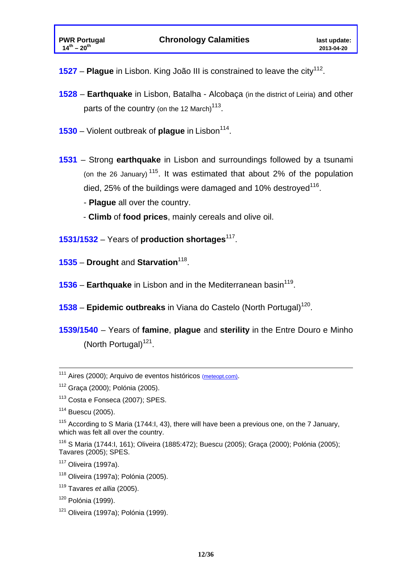- **1527 Plague** in Lisbon. King João III is constrained to leave the city<sup>112</sup>.
- **1528 Earthquake** in Lisbon, Batalha Alcobaça (in the district of Leiria) and other parts of the country (on the 12 March)<sup>113</sup>.
- **1530** Violent outbreak of **plague** in Lisbon<sup>114</sup>.
- **1531** Strong **earthquake** in Lisbon and surroundings followed by a tsunami (on the 26 January)  $115$ . It was estimated that about 2% of the population died, 25% of the buildings were damaged and 10% destroyed<sup>116</sup>.
	- **Plague** all over the country.
	- **Climb** of **food prices**, mainly cereals and olive oil.
- **1531/1532**  Years of **production shortages**117.
- **1535 Drought** and **Starvation**118.
- **1536 Earthquake** in Lisbon and in the Mediterranean basin<sup>119</sup>.
- **1538 Epidemic outbreaks** in Viana do Castelo (North Portugal)<sup>120</sup>.
- **1539/1540**  Years of **famine**, **plague** and **sterility** in the Entre Douro e Minho (North Portugal) $121$ .

<sup>&</sup>lt;sup>111</sup> Aires (2000); Arquivo de eventos históricos (meteopt.com).

<sup>112</sup> Graça (2000); Polónia (2005).

<sup>113</sup> Costa e Fonseca (2007); SPES.

<sup>114</sup> Buescu (2005).

<sup>&</sup>lt;sup>115</sup> According to S Maria (1744: I, 43), there will have been a previous one, on the 7 January, which was felt all over the country.

<sup>116</sup> S Maria (1744:I, 161); Oliveira (1885:472); Buescu (2005); Graça (2000); Polónia (2005); Tavares (2005); SPES.

 $117$  Oliveira (1997a).

<sup>118</sup> Oliveira (1997a); Polónia (2005).

<sup>119</sup> Tavares *et allia* (2005).

 $120$  Polónia (1999).

 $121$  Oliveira (1997a); Polónia (1999).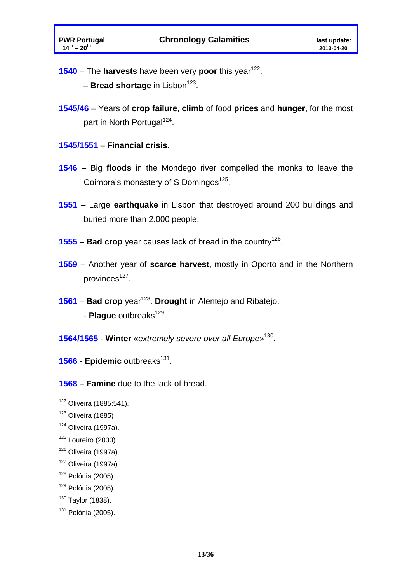**1540** – The **harvests** have been very **poor** this year<sup>122</sup>.

- **Bread shortage** in Lisbon<sup>123</sup>.

- **1545/46** Years of **crop failure**, **climb** of food **prices** and **hunger**, for the most part in North Portugal<sup>124</sup>.
- **1545/1551 Financial crisis**.
- **1546**  Big **floods** in the Mondego river compelled the monks to leave the Coimbra's monastery of S Domingos<sup>125</sup>.
- **1551**  Large **earthquake** in Lisbon that destroyed around 200 buildings and buried more than 2.000 people.
- **1555 Bad crop** year causes lack of bread in the country126.
- **1559**  Another year of **scarce harvest**, mostly in Oporto and in the Northern provinces<sup>127</sup>.
- **1561 Bad crop** year128. **Drought** in Alentejo and Ribatejo. - **Plaque** outbreaks<sup>129</sup>.
- **1564/1565 Winter** «*extremely severe over all Europe*»130.

**1566 - Epidemic** outbreaks<sup>131</sup>.

**1568** – **Famine** due to the lack of bread.

 $122$  Oliveira (1885:541).

 $123$  Oliveira (1885)

 $124$  Oliveira (1997a).

 $125$  Loureiro (2000).

 $126$  Oliveira (1997a).

 $127$  Oliveira (1997a).

 $128$  Polónia (2005).

 $129$  Polónia (2005).

 $130$  Taylor (1838).

 $131$  Polónia (2005).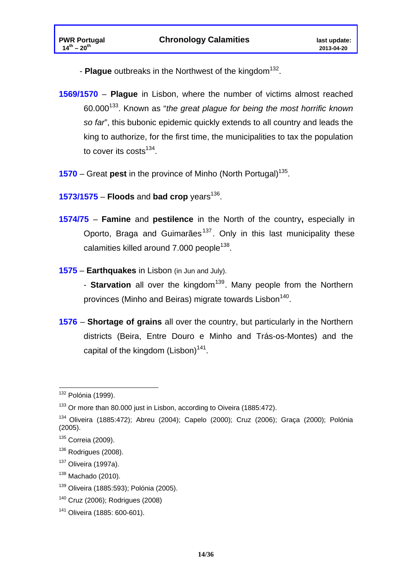- **Plague** outbreaks in the Northwest of the kingdom<sup>132</sup>.
- **1569/1570** – **Plague** in Lisbon, where the number of victims almost reached 60.000133. Known as "*the great plague for being the most horrific known so far*", this bubonic epidemic quickly extends to all country and leads the king to authorize, for the first time, the municipalities to tax the population to cover its costs $^{134}$ .
- **1570** Great **pest** in the province of Minho (North Portugal)<sup>135</sup>.
- **1573/1575 Floods and bad crop** years<sup>136</sup>.
- **1574/75 Famine** and **pestilence** in the North of the country**,** especially in Oporto, Braga and Guimarães<sup>137</sup>. Only in this last municipality these calamities killed around  $7.000$  people<sup>138</sup>.
- **1575 Earthquakes** in Lisbon (in Jun and July).
	- **Starvation** all over the kingdom<sup>139</sup>. Many people from the Northern provinces (Minho and Beiras) migrate towards Lisbon<sup>140</sup>.
- **1576 Shortage of grains** all over the country, but particularly in the Northern districts (Beira, Entre Douro e Minho and Trás-os-Montes) and the capital of the kingdom  $(Lisbon)^{141}$ .

<sup>1</sup>  $132$  Polónia (1999).

 $133$  Or more than 80.000 just in Lisbon, according to Oiveira (1885:472).

<sup>134</sup> Oliveira (1885:472); Abreu (2004); Capelo (2000); Cruz (2006); Graça (2000); Polónia (2005).

<sup>135</sup> Correia (2009).

 $136$  Rodrigues (2008).

 $137$  Oliveira (1997a).

 $138$  Machado (2010).

<sup>&</sup>lt;sup>139</sup> Oliveira (1885:593); Polónia (2005).

<sup>140</sup> Cruz (2006); Rodrigues (2008)

<sup>141</sup> Oliveira (1885: 600-601).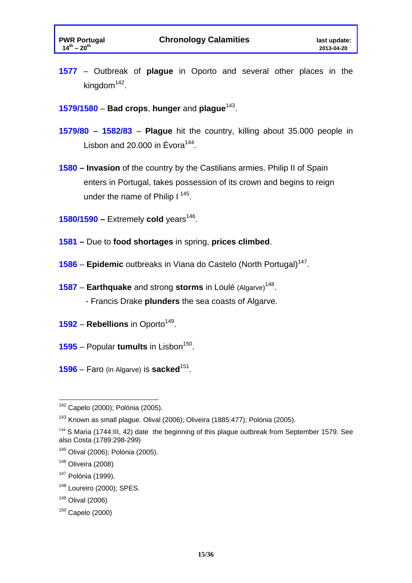- **1577**  Outbreak of **plague** in Oporto and several other places in the kingdom<sup>142</sup>.
- **1579/1580 Bad crops**, **hunger** and **plague**143.
- **1579/80 1582/83 Plague** hit the country, killing about 35.000 people in Lisbon and 20.000 in Évora $144$ .
- **1580 Invasion** of the country by the Castilians armies. Philip II of Spain enters in Portugal, takes possession of its crown and begins to reign under the name of Philip  $I^{145}$ .
- $1580/1590$  Extremely cold years<sup>146</sup>.
- **1581** Due to **food shortages** in spring, **prices climbed**.
- **1586 Epidemic** outbreaks in Viana do Castelo (North Portugal)<sup>147</sup>.
- **1587 Earthquake** and strong **storms** in Loulé (Algarve)<sup>148</sup>.
	- Francis Drake **plunders** the sea coasts of Algarve.
- **1592 Rebellions** in Oporto<sup>149</sup>.
- **1595** Popular **tumults** in Lisbon<sup>150</sup>.
- **1596**  Faro (in Algarve) is **sacked**151.

<sup>&</sup>lt;u>.</u> <sup>142</sup> Capelo (2000); Polónia (2005).

<sup>&</sup>lt;sup>143</sup> Known as small plague. Olival (2006); Oliveira (1885:477); Polónia (2005).

 $144$  S Maria (1744:III, 42) date the beginning of this plague outbreak from September 1579. See also Costa (1789:298-299)

<sup>145</sup> Olival (2006); Polónia (2005).

 $146$  Oliveira (2008)

<sup>147</sup> Polónia (1999).

 $148$  Loureiro (2000); SPES.

<sup>149</sup> Olival (2006)

<sup>150</sup> Capelo (2000)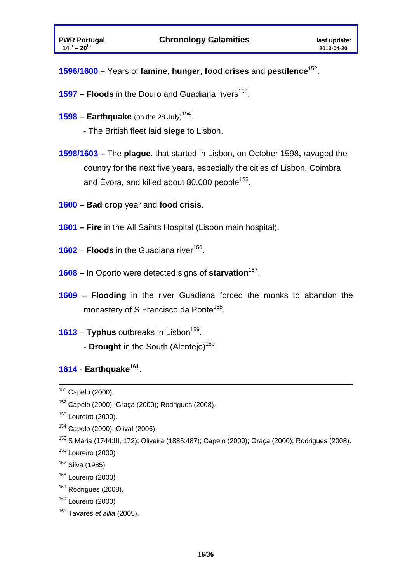### **1596/1600 –** Years of **famine**, **hunger**, **food crises** and **pestilence**152.

- **1597 Floods** in the Douro and Guadiana rivers<sup>153</sup>.
- **1598 Earthquake** (on the 28 July)<sup>154</sup>.
	- The British fleet laid **siege** to Lisbon.
- **1598/1603**  The **plague**, that started in Lisbon, on October 1598**,** ravaged the country for the next five years, especially the cities of Lisbon, Coimbra and Évora, and killed about 80.000 people<sup>155</sup>.
- **1600 Bad crop** year and **food crisis**.
- **1601 Fire** in the All Saints Hospital (Lisbon main hospital).
- **1602 Floods** in the Guadiana river<sup>156</sup>.
- **1608**  In Oporto were detected signs of **starvation**157.
- **1609 Flooding** in the river Guadiana forced the monks to abandon the monastery of S Francisco da Ponte<sup>158</sup>.
- **1613 Typhus** outbreaks in Lisbon<sup>159</sup>. **- Drought** in the South (Alentejo)<sup>160</sup>.

#### **1614** - **Earthquake**161.

- 157 Silva (1985)
- 158 Loureiro (2000)
- $159$  Rodrigues (2008).
- $160$  Loureiro (2000)
- 161 Tavares *et allia* (2005).

151 Capelo (2000).

<sup>152</sup> Capelo (2000); Graça (2000); Rodrigues (2008).

 $153$  Loureiro (2000).

<sup>154</sup> Capelo (2000); Olival (2006).

<sup>155</sup> S Maria (1744:III, 172); Oliveira (1885:487); Capelo (2000); Graça (2000); Rodrigues (2008).

<sup>156</sup> Loureiro (2000)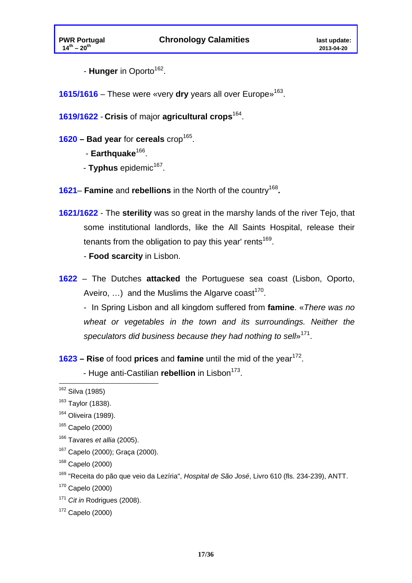- **Hunger** in Oporto<sup>162</sup>.

**1615/1616** – These were «very **dry** years all over Europe»163.

**1619/1622** - **Crisis** of major **agricultural crops**164.

- 1620 **Bad year** for **cereals** crop<sup>165</sup>.
	- **Earthquake**<sup>166</sup>.
	- **Typhus** epidemic<sup>167</sup>.
- **1621 Famine** and **rebellions** in the North of the country<sup>168</sup>**.**
- **1621/1622** The **sterility** was so great in the marshy lands of the river Tejo, that some institutional landlords, like the All Saints Hospital, release their tenants from the obligation to pay this year' rents<sup>169</sup>.

- **Food scarcity** in Lisbon.

**1622** – The Dutches **attacked** the Portuguese sea coast (Lisbon, Oporto, Aveiro, ...) and the Muslims the Algarve coast<sup>170</sup>.

- In Spring Lisbon and all kingdom suffered from **famine**. «*There was no wheat or vegetables in the town and its surroundings. Neither the speculators did business because they had nothing to sell*»171.

**1623 – Rise** of food **prices** and **famine** until the mid of the year<sup>172</sup>.

- Huge anti-Castilian *rebellion* in Lisbon<sup>173</sup>.

 $170$  Capelo (2000)

<sup>171</sup> *Cit in* Rodrigues (2008).

 $172$  Capelo (2000)

<sup>1</sup> <sup>162</sup> Silva (1985)

<sup>&</sup>lt;sup>163</sup> Taylor (1838).

<sup>164</sup> Oliveira (1989).

<sup>165</sup> Capelo (2000)

<sup>166</sup> Tavares *et allia* (2005).

<sup>167</sup> Capelo (2000); Graça (2000).

<sup>168</sup> Capelo (2000)

<sup>169 &</sup>quot;Receita do pão que veio da Lezíria", *Hospital de São José*, Livro 610 (fls. 234-239), ANTT.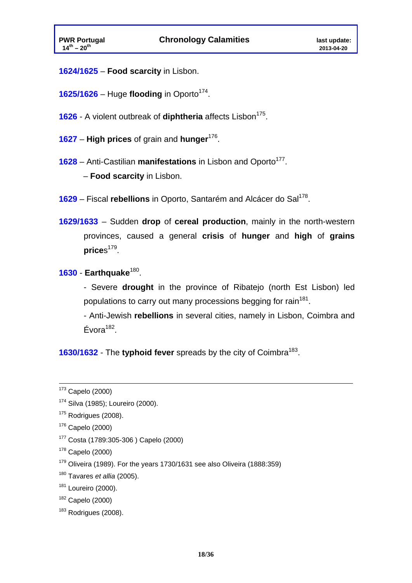- **1624/1625 Food scarcity** in Lisbon.
- $1625/1626$  Huge **flooding** in Oporto<sup>174</sup>.
- **1626** A violent outbreak of **diphtheria** affects Lisbon<sup>175</sup>.
- **1627 High prices** of grain and **hunger**176.
- **1628** Anti-Castilian **manifestations** in Lisbon and Oporto<sup>177</sup>.
	- **Food scarcity** in Lisbon.
- 1629 Fiscal rebellions in Oporto, Santarém and Alcácer do Sal<sup>178</sup>.
- **1629/1633**  Sudden **drop** of **cereal production**, mainly in the north-western provinces, caused a general **crisis** of **hunger** and **high** of **grains** prices<sup>179</sup>.

#### **1630** - **Earthquake**180.

- Severe **drought** in the province of Ribatejo (north Est Lisbon) led populations to carry out many processions begging for rain<sup>181</sup>.

- Anti-Jewish **rebellions** in several cities, namely in Lisbon, Coimbra and  $Évora<sup>182</sup>$ .

**1630/1632** - The **typhoid fever** spreads by the city of Coimbra<sup>183</sup>.

- $176$  Capelo (2000)
- 177 Costa (1789:305-306 ) Capelo (2000)
- $178$  Capelo (2000)
- $179$  Oliveira (1989). For the years 1730/1631 see also Oliveira (1888:359)
- 180 Tavares *et allia* (2005).
- $181$  Loureiro (2000).
- 182 Capelo (2000)
- $183$  Rodrigues (2008).

 $173$  Capelo (2000)

<sup>174</sup> Silva (1985); Loureiro (2000).

 $175$  Rodrigues (2008).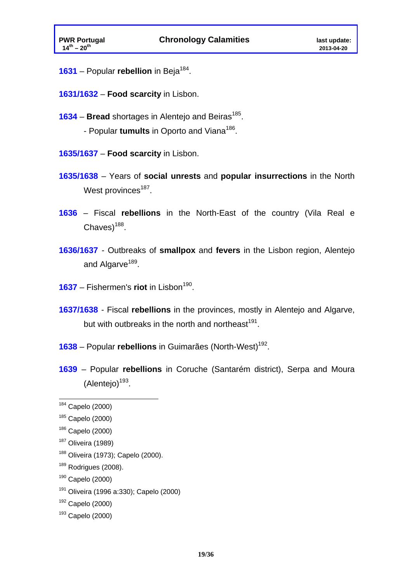- 1631 Popular rebellion in Beja<sup>184</sup>.
- **1631/1632 Food scarcity** in Lisbon.
- **1634 Bread** shortages in Alentejo and Beiras<sup>185</sup>.
	- Popular **tumults** in Oporto and Viana<sup>186</sup>.
- **1635/1637 Food scarcity** in Lisbon.
- **1635/1638**  Years of **social unrests** and **popular insurrections** in the North West provinces<sup>187</sup>.
- **1636**  Fiscal **rebellions** in the North-East of the country (Vila Real e  $Chaves)$ <sup>188</sup>.
- **1636/1637**  Outbreaks of **smallpox** and **fevers** in the Lisbon region, Alentejo and Algarve<sup>189</sup>.
- **1637** Fishermen's **riot** in Lisbon<sup>190</sup>.
- **1637/1638**  Fiscal **rebellions** in the provinces, mostly in Alentejo and Algarve, but with outbreaks in the north and northeast $191$ .
- **1638** Popular **rebellions** in Guimarães (North-West)<sup>192</sup>.
- **1639**  Popular **rebellions** in Coruche (Santarém district), Serpa and Moura  $(Alentejo)<sup>193</sup>$ .

1

191 Oliveira (1996 a:330); Capelo (2000)

<sup>&</sup>lt;sup>184</sup> Capelo (2000)

 $185$  Capelo (2000)

<sup>186</sup> Capelo (2000)

 $187$  Oliveira (1989)

<sup>188</sup> Oliveira (1973); Capelo (2000).

<sup>&</sup>lt;sup>189</sup> Rodrigues (2008).

<sup>190</sup> Capelo (2000)

<sup>192</sup> Capelo (2000)

 $193$  Capelo (2000)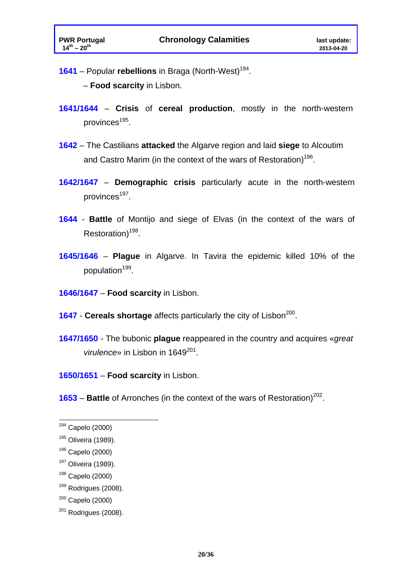**1641** – Popular **rebellions** in Braga (North-West)<sup>194</sup>.

– **Food scarcity** in Lisbon.

- **1641/1644 Crisis** of **cereal production**, mostly in the north-western provinces<sup>195</sup>.
- **1642**  The Castilians **attacked** the Algarve region and laid **siege** to Alcoutim and Castro Marim (in the context of the wars of Restoration)<sup>196</sup>.
- **1642/1647 Demographic crisis** particularly acute in the north-western provinces<sup>197</sup>.
- **1644 Battle** of Montijo and siege of Elvas (in the context of the wars of Restoration) $198$ .
- **1645/1646 Plague** in Algarve. In Tavira the epidemic killed 10% of the population<sup>199</sup>.
- **1646/1647 Food scarcity** in Lisbon.
- **1647 Cereals shortage** affects particularly the city of Lisbon<sup>200</sup>.
- **1647/1650**  The bubonic **plague** reappeared in the country and acquires «*great virulence*» in Lisbon in 1649<sup>201</sup>.

**1650/1651** – **Food scarcity** in Lisbon.

**1653 – Battle** of Arronches (in the context of the wars of Restoration)<sup>202</sup>.

1

<sup>&</sup>lt;sup>194</sup> Capelo (2000)

<sup>195</sup> Oliveira (1989).

<sup>196</sup> Capelo (2000)

<sup>197</sup> Oliveira (1989).

<sup>198</sup> Capelo (2000)

 $199$  Rodrigues (2008).

 $200$  Capelo (2000)

 $201$  Rodrigues (2008).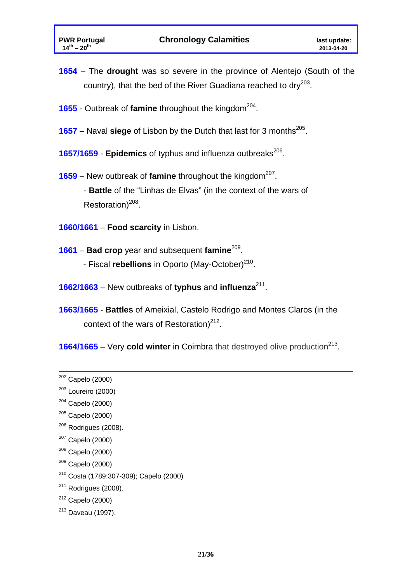- **1654** The **drought** was so severe in the province of Alentejo (South of the country), that the bed of the River Guadiana reached to dry<sup>203</sup>.
- **1655** Outbreak of **famine** throughout the kingdom<sup>204</sup>.
- **1657** Naval siege of Lisbon by the Dutch that last for 3 months<sup>205</sup>.
- **1657/1659 Epidemics** of typhus and influenza outbreaks<sup>206</sup>.
- **1659** New outbreak of **famine** throughout the kingdom<sup>207</sup>.

- **Battle** of the "Linhas de Elvas" (in the context of the wars of Restoration) $208$ .

- **1660/1661 Food scarcity** in Lisbon.
- **1661 Bad crop** year and subsequent **famine**209.
	- Fiscal **rebellions** in Oporto (May-October)<sup>210</sup>.
- **1662/1663**  New outbreaks of **typhus** and **influenza**211.
- **1663/1665 Battles** of Ameixial, Castelo Rodrigo and Montes Claros (in the context of the wars of Restoration) $^{212}$ .
- **1664/1665** Very **cold winter** in Coimbra that destroyed olive production<sup>213</sup>.

- $205$  Capelo (2000)
- $206$  Rodrigues (2008).
- $207$  Capelo (2000)
- $208$  Capelo (2000)
- $209$  Capelo (2000)
- 210 Costa (1789:307-309); Capelo (2000)
- $211$  Rodrigues (2008).
- $212$  Capelo (2000)
- 213 Daveau (1997).

 $202$  Capelo (2000)

<sup>203</sup> Loureiro (2000)

 $204$  Capelo (2000)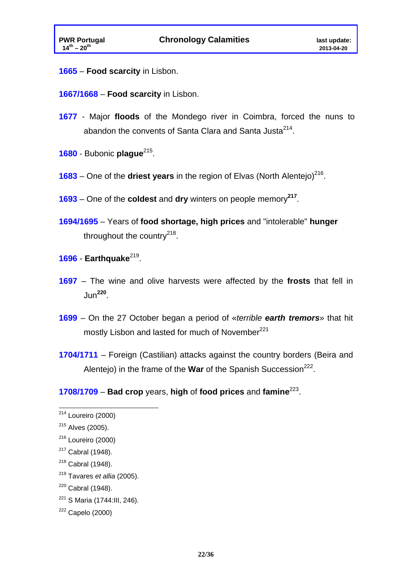- **1665 Food scarcity** in Lisbon.
- **1667/1668 Food scarcity** in Lisbon.
- **1677** Major **floods** of the Mondego river in Coimbra, forced the nuns to abandon the convents of Santa Clara and Santa Justa $2^{214}$ .
- **1680** Bubonic **plague**215.
- **1683** One of the **driest years** in the region of Elvas (North Alentejo)<sup>216</sup>.
- **1693**  One of the **coldest** and **dry** winters on people memory**<sup>217</sup>**.
- **1694/1695**  Years of **food shortage, high prices** and "intolerable" **hunger**  throughout the country $^{218}$ .

#### **1696** - **Earthquake**219.

- **1697**  The wine and olive harvests were affected by the **frosts** that fell in Jun**<sup>220</sup>**.
- **1699**  On the 27 October began a period of «*terrible earth tremors*» that hit mostly Lisbon and lasted for much of November<sup>221</sup>
- **1704/1711**  Foreign (Castilian) attacks against the country borders (Beira and Alentejo) in the frame of the **War** of the Spanish Succession<sup>222</sup>.
- **1708/1709 Bad crop** years, **high** of **food prices** and **famine**223.

1

219 Tavares *et allia* (2005).

221 S Maria (1744:III, 246).

 $214$  Loureiro (2000)

 $215$  Alves (2005).

 $216$  Loureiro (2000)

 $217$  Cabral (1948).

 $218$  Cabral (1948).

 $220$  Cabral (1948).

 $222$  Capelo (2000)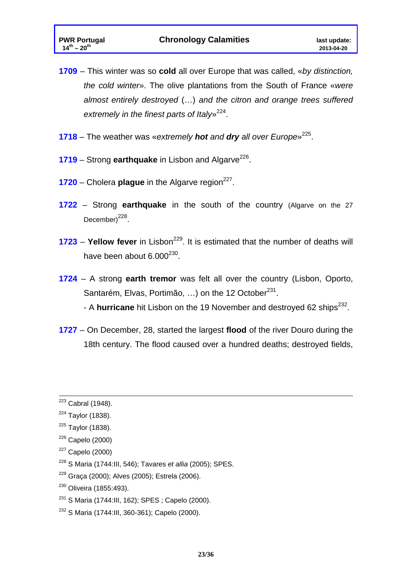- **1709**  This winter was so **cold** all over Europe that was called, «*by distinction, the cold winter*». The olive plantations from the South of France «*were almost entirely destroyed* (…) *and the citron and orange trees suffered extremely in the finest parts of Italy*»224.
- **1718**  The weather was «*extremely hot and dry all over Europe*»225.
- **1719** Strong **earthquake** in Lisbon and Algarve<sup>226</sup>.
- $1720$  Cholera **plague** in the Algarve region<sup>227</sup>.
- **1722** Strong **earthquake** in the south of the country (Algarve on the 27 December) $^{228}$ .
- **1723 Yellow fever** in Lisbon<sup>229</sup>. It is estimated that the number of deaths will have been about  $6.000^{230}$ .
- **1724**  A strong **earth tremor** was felt all over the country (Lisbon, Oporto, Santarém, Elvas, Portimão, ...) on the 12 October<sup>231</sup>. - A **hurricane** hit Lisbon on the 19 November and destroyed 62 ships<sup>232</sup>.
- **1727**  On December, 28, started the largest **flood** of the river Douro during the 18th century. The flood caused over a hundred deaths; destroyed fields,

228 S Maria (1744:III, 546); Tavares *et allia* (2005); SPES.

<sup>230</sup> Oliveira (1855:493).

 $223$  Cabral (1948).

 $224$  Taylor (1838).

 $225$  Taylor (1838).

 $226$  Capelo (2000)

 $227$  Capelo (2000)

<sup>229</sup> Graça (2000); Alves (2005); Estrela (2006).

<sup>231</sup> S Maria (1744:III, 162); SPES ; Capelo (2000).

<sup>232</sup> S Maria (1744:III, 360-361); Capelo (2000).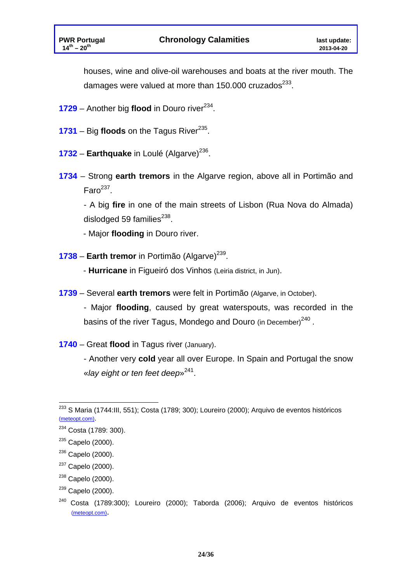houses, wine and olive-oil warehouses and boats at the river mouth. The damages were valued at more than 150.000 cruzados $^{233}$ .

- **1729** Another big **flood** in Douro river<sup>234</sup>.
- **1731** Big **floods** on the Tagus River<sup>235</sup>.
- **1732 Earthquake** in Loulé (Algarve)<sup>236</sup>.
- **1734**  Strong **earth tremors** in the Algarve region, above all in Portimão and  $\text{Faro}^{237}$ .

- A big **fire** in one of the main streets of Lisbon (Rua Nova do Almada) dislodged 59 families $^{238}$ .

- Major **flooding** in Douro river.

- **1738 Earth tremor** in Portimão (Algarve)<sup>239</sup>.
	- - **Hurricane** in Figueiró dos Vinhos (Leiria district, in Jun).
- **1739** Several **earth tremors** were felt in Portimão (Algarve, in October).

- Major **flooding**, caused by great waterspouts, was recorded in the basins of the river Tagus, Mondego and Douro (in December)<sup>240</sup>.

**1740** – Great **flood** in Tagus river (January).

- Another very **cold** year all over Europe. In Spain and Portugal the snow «*lay eight or ten feet deep*»241.

<sup>1</sup> <sup>233</sup> S Maria (1744:III, 551); Costa (1789; 300); Loureiro (2000); Arquivo de eventos históricos (meteopt.com).

<sup>&</sup>lt;sup>234</sup> Costa (1789: 300).

<sup>&</sup>lt;sup>235</sup> Capelo (2000).

 $236$  Capelo (2000).

 $237$  Capelo (2000).

<sup>&</sup>lt;sup>238</sup> Capelo (2000).

 $239$  Capelo (2000).

<sup>240</sup> Costa (1789:300); Loureiro (2000); Taborda (2006); Arquivo de eventos históricos (meteopt.com).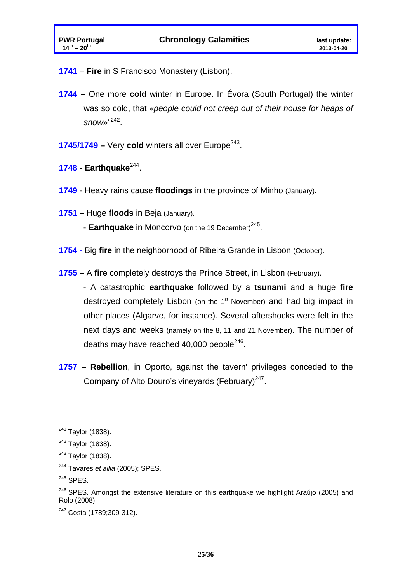- **1741 Fire** in S Francisco Monastery (Lisbon).
- **1744** One more **cold** winter in Europe. In Évora (South Portugal) the winter was so cold, that «*people could not creep out of their house for heaps of snow*»"242.
- **1745/1749 Very cold** winters all over Europe<sup>243</sup>.
- **1748 Earthquake**244.
- **1749**  Heavy rains cause **floodings** in the province of Minho (January).
- **1751**  Huge **floods** in Beja (January).
	- **Earthquake** in Moncorvo (on the 19 December)<sup>245</sup>.
- **1754** Big **fire** in the neighborhood of Ribeira Grande in Lisbon (October).
- **1755**  A **fire** completely destroys the Prince Street, in Lisbon (February).

- A catastrophic **earthquake** followed by a **tsunami** and a huge **fire** destroyed completely Lisbon (on the  $1<sup>st</sup>$  November) and had big impact in other places (Algarve, for instance). Several aftershocks were felt in the next days and weeks (namely on the 8, 11 and 21 November). The number of deaths may have reached  $40,000$  people<sup>246</sup>.

**1757** – **Rebellion**, in Oporto, against the tavern' privileges conceded to the Company of Alto Douro's vineyards (February) $247$ .

<sup>&</sup>lt;sup>241</sup> Taylor (1838).

<sup>&</sup>lt;sup>242</sup> Taylor (1838).

 $243$  Taylor (1838).

<sup>244</sup> Tavares *et allia* (2005); SPES.

<sup>&</sup>lt;sup>245</sup> SPES.

 $246$  SPES. Amongst the extensive literature on this earthquake we highlight Araújo (2005) and Rolo (2008).

<sup>247</sup> Costa (1789;309-312).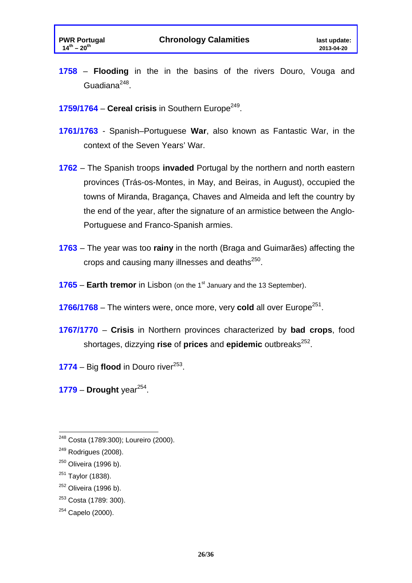- **1758 Flooding** in the in the basins of the rivers Douro, Vouga and Guadiana $^{248}$ .
- **1759/1764 Cereal crisis** in Southern Europe<sup>249</sup>.
- **1761/1763**  Spanish–Portuguese **War**, also known as Fantastic War, in the context of the Seven Years' War.
- **1762**  The Spanish troops **invaded** Portugal by the northern and north eastern provinces (Trás-os-Montes, in May, and Beiras, in August), occupied the towns of Miranda, Bragança, Chaves and Almeida and left the country by the end of the year, after the signature of an armistice between the Anglo-Portuguese and Franco-Spanish armies.
- **1763**  The year was too **rainy** in the north (Braga and Guimarães) affecting the crops and causing many illnesses and deaths<sup>250</sup>.
- **1765 Earth tremor** in Lisbon (on the 1<sup>st</sup> January and the 13 September).
- **1766/1768** The winters were, once more, very **cold** all over Europe<sup>251</sup>.
- **1767/1770 Crisis** in Northern provinces characterized by **bad crops**, food shortages, dizzying **rise** of **prices** and **epidemic** outbreaks<sup>252</sup>.
- **1774** Big **flood** in Douro river<sup>253</sup>.
- $1779$  Drought year<sup>254</sup>.

<u>.</u>

253 Costa (1789: 300).

<sup>&</sup>lt;sup>248</sup> Costa (1789:300); Loureiro (2000).

 $249$  Rodrigues (2008).

 $250$  Oliveira (1996 b).

 $251$  Taylor (1838).

 $252$  Oliveira (1996 b).

 $254$  Capelo (2000).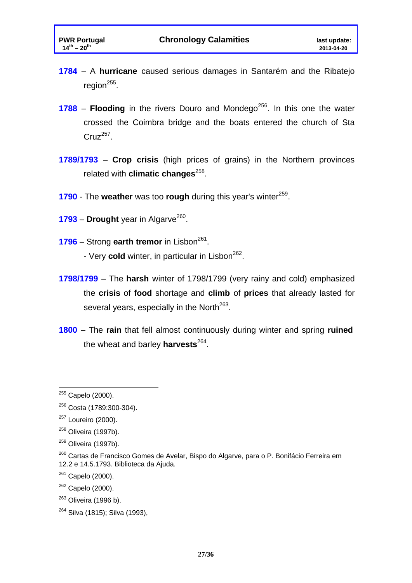- **1784**  A **hurricane** caused serious damages in Santarém and the Ribatejo region $^{255}$ .
- **1788 Flooding** in the rivers Douro and Mondego<sup>256</sup>. In this one the water crossed the Coimbra bridge and the boats entered the church of Sta  $Cruz^{257}$ .
- **1789/1793 Crop crisis** (high prices of grains) in the Northern provinces related with **climatic changes**<sup>258</sup>.
- **1790** The weather was too rough during this year's winter<sup>259</sup>.
- $1793$  **Drought** year in Algarve<sup>260</sup>.
- **1796** Strong **earth tremor** in Lisbon<sup>261</sup>.
	- Very **cold** winter, in particular in Lisbon<sup>262</sup>.
- **1798/1799**  The **harsh** winter of 1798/1799 (very rainy and cold) emphasized the **crisis** of **food** shortage and **climb** of **prices** that already lasted for several years, especially in the North<sup>263</sup>.
- **1800**  The **rain** that fell almost continuously during winter and spring **ruined** the wheat and barley **harvests**264.

1

264 Silva (1815); Silva (1993),

<sup>&</sup>lt;sup>255</sup> Capelo (2000).

<sup>256</sup> Costa (1789:300-304).

<sup>&</sup>lt;sup>257</sup> Loureiro (2000).

 $258$  Oliveira (1997b).

 $259$  Oliveira (1997b).

<sup>&</sup>lt;sup>260</sup> Cartas de Francisco Gomes de Avelar, Bispo do Algarve, para o P. Bonifácio Ferreira em 12.2 e 14.5.1793. Biblioteca da Ajuda.

 $261$  Capelo (2000).

 $262$  Capelo (2000).

 $263$  Oliveira (1996 b).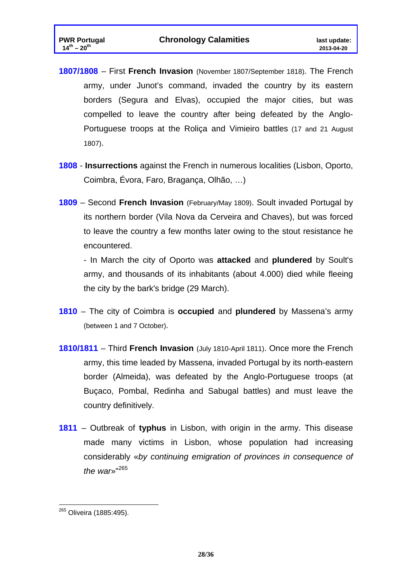- **1807/1808**  First **French Invasion** (November 1807/September 1818). The French army, under Junot's command, invaded the country by its eastern borders (Segura and Elvas), occupied the major cities, but was compelled to leave the country after being defeated by the Anglo-Portuguese troops at the Roliça and Vimieiro battles (17 and 21 August 1807).
- **1808 Insurrections** against the French in numerous localities (Lisbon, Oporto, Coimbra, Évora, Faro, Bragança, Olhão, …)
- **1809**  Second **French Invasion** (February/May 1809). Soult invaded Portugal by its northern border (Vila Nova da Cerveira and Chaves), but was forced to leave the country a few months later owing to the stout resistance he encountered.

- In March the city of Oporto was **attacked** and **plundered** by Soult's army, and thousands of its inhabitants (about 4.000) died while fleeing the city by the bark's bridge (29 March).

- **1810**  The city of Coimbra is **occupied** and **plundered** by Massena's army (between 1 and 7 October).
- **1810/1811**  Third **French Invasion** (July 1810-April 1811). Once more the French army, this time leaded by Massena, invaded Portugal by its north-eastern border (Almeida), was defeated by the Anglo-Portuguese troops (at Buçaco, Pombal, Redinha and Sabugal battles) and must leave the country definitively.
- **1811**  Outbreak of **typhus** in Lisbon, with origin in the army. This disease made many victims in Lisbon, whose population had increasing considerably «*by continuing emigration of provinces in consequence of the war*»"<sup>265</sup>

<sup>1</sup> <sup>265</sup> Oliveira (1885:495).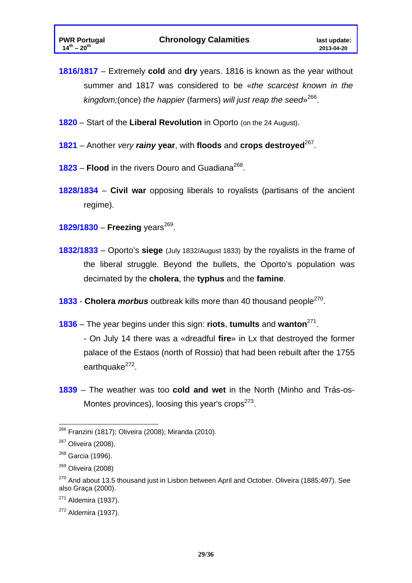**1816/1817** – Extremely **cold** and **dry** years. 1816 is known as the year without summer and 1817 was considered to be «*the scarcest known in the kingdom;*(once) *the happier* (farmers) *will just reap the seed*»266.

- **1820**  Start of the **Liberal Revolution** in Oporto (on the 24 August).
- **1821**  Another *very rainy* **year**, with **floods** and **crops destroyed**267.
- **1823 Flood** in the rivers Douro and Guadiana<sup>268</sup>.
- **1828/1834 Civil war** opposing liberals to royalists (partisans of the ancient regime).

**1829/1830 – Freezing** years<sup>269</sup>.

- **1832/1833**  Oporto's **siege** (July 1832/August 1833) by the royalists in the frame of the liberal struggle. Beyond the bullets, the Oporto's population was decimated by the **cholera**, the **typhus** and the **famine**.
- **1833 Cholera** *morbus* outbreak kills more than 40 thousand people270.
- **1836**  The year begins under this sign: **riots**, **tumults** and **wanton**271.
	- On July 14 there was a «dreadful **fire**» in Lx that destroyed the former palace of the Estaos (north of Rossio) that had been rebuilt after the 1755 earthquake<sup>272</sup>.
- **1839**  The weather was too **cold and wet** in the North (Minho and Trás-os-Montes provinces), loosing this year's crops $273$ .

<sup>1</sup> <sup>266</sup> Franzini (1817); Oliveira (2008); Miranda (2010).

<sup>&</sup>lt;sup>267</sup> Oliveira (2008).

<sup>&</sup>lt;sup>268</sup> Garcia (1996).

 $269$  Oliveira (2008)

 $270$  And about 13.5 thousand just in Lisbon between April and October. Oliveira (1885:497). See also Graça (2000).

 $271$  Aldemira (1937).

 $272$  Aldemira (1937).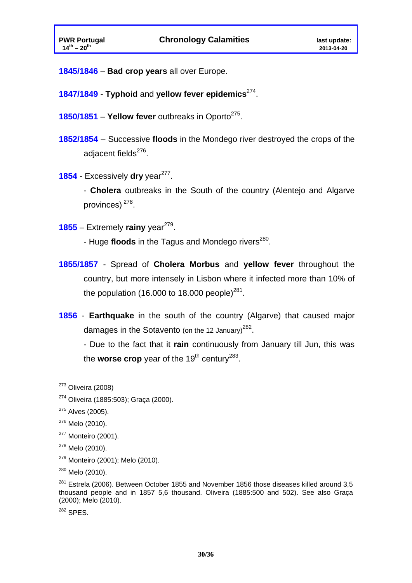- **1845/1846 Bad crop years** all over Europe.
- **1847/1849 Typhoid** and **yellow fever epidemics**274.
- **1850/1851 Yellow fever** outbreaks in Oporto<sup>275</sup>.
- **1852/1854**  Successive **floods** in the Mondego river destroyed the crops of the adiacent fields $^{276}$ .
- **1854** Excessively **dry** year<sup>277</sup>.

- **Cholera** outbreaks in the South of the country (Alentejo and Algarve provinces) 278.

 $1855$  – Extremely rainy year<sup>279</sup>.

- Huge **floods** in the Tagus and Mondego rivers<sup>280</sup>.

- **1855/1857** Spread of **Cholera Morbus** and **yellow fever** throughout the country, but more intensely in Lisbon where it infected more than 10% of the population (16.000 to 18.000 people)<sup>281</sup>.
- **1856 Earthquake** in the south of the country (Algarve) that caused major damages in the Sotavento (on the 12 January)<sup>282</sup>.

- Due to the fact that it **rain** continuously from January till Jun, this was the **worse crop** year of the  $19<sup>th</sup>$  century<sup>283</sup>.

- <sup>277</sup> Monteiro (2001).
- <sup>278</sup> Melo (2010).
- 279 Monteiro (2001); Melo (2010).

282 SPES.

 $273$  Oliveira (2008)

<sup>274</sup> Oliveira (1885:503); Graça (2000).

 $275$  Alves (2005).

<sup>276</sup> Melo (2010).

<sup>280</sup> Melo (2010).

 $281$  Estrela (2006). Between October 1855 and November 1856 those diseases killed around 3,5 thousand people and in 1857 5,6 thousand. Oliveira (1885:500 and 502). See also Graça (2000); Melo (2010).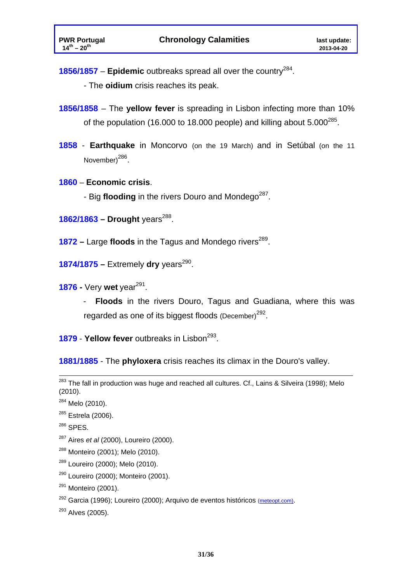**1856/1857** – **Epidemic** outbreaks spread all over the country284.

- The **oidium** crisis reaches its peak.

- **1856/1858** The **yellow fever** is spreading in Lisbon infecting more than 10% of the population (16.000 to 18.000 people) and killing about  $5.000^{285}$ .
- **1858 Earthquake** in Moncorvo (on the 19 March) and in Setúbal (on the 11 November)<sup>286</sup>.
- **1860 Economic crisis**.
	- Big **flooding** in the rivers Douro and Mondego<sup>287</sup>.
- **1862/1863 Drought years<sup>288</sup>.**
- **1872 Large floods** in the Tagus and Mondego rivers<sup>289</sup>.
- **1874/1875 –** Extremely **dry** years<sup>290</sup>.
- **1876 -** Very wet year<sup>291</sup>.
	- - **Floods** in the rivers Douro, Tagus and Guadiana, where this was regarded as one of its biggest floods (December)<sup>292</sup>.
- **1879 Yellow fever** outbreaks in Lisbon<sup>293</sup>.

**1881/1885** - The **phyloxera** crisis reaches its climax in the Douro's valley.

- <sup>286</sup> SPES.
- 287 Aires *et al* (2000), Loureiro (2000).
- 288 Monteiro (2001); Melo (2010).
- 289 Loureiro (2000); Melo (2010).
- 290 Loureiro (2000); Monteiro (2001).
- $291$  Monteiro (2001).
- $292$  Garcia (1996); Loureiro (2000); Arquivo de eventos históricos (meteopt.com).
- $293$  Alves (2005).

<sup>&</sup>lt;sup>283</sup> The fall in production was huge and reached all cultures. Cf., Lains & Silveira (1998); Melo (2010).

 $284$  Melo (2010).

 $285$  Estrela (2006).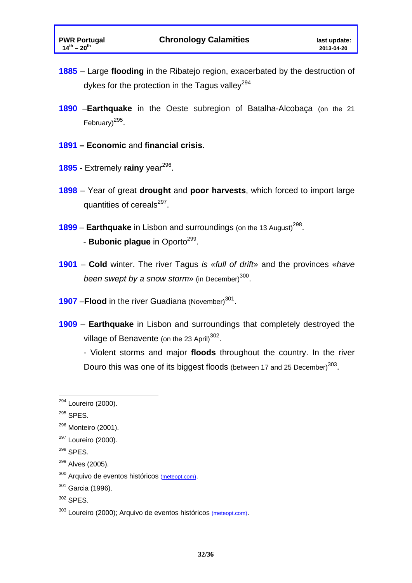- **1885**  Large **flooding** in the Ribatejo region, exacerbated by the destruction of dykes for the protection in the Tagus valley<sup>294</sup>
- **1890** –**Earthquake** in the Oeste subregion of Batalha-Alcobaça (on the 21 February) $^{295}$ .
- **1891 – Economic** and **financial crisis**.
- 1895 Extremely rainy year<sup>296</sup>.
- **1898**  Year of great **drought** and **poor harvests**, which forced to import large quantities of cereals<sup>297</sup>.
- **1899 Earthquake** in Lisbon and surroundings (on the 13 August)<sup>298</sup>. - **Bubonic plague** in Oporto<sup>299</sup>.
- **1901 Cold** winter. The river Tagus *is «full of drift*» and the provinces «*have been swept by a snow storm*<sup>300</sup>.
- **1907 Flood** in the river Guadiana (November)<sup>301</sup>.
- **1909 Earthquake** in Lisbon and surroundings that completely destroyed the village of Benavente (on the 23 April)<sup>302</sup>.

- Violent storms and major **floods** throughout the country. In the river Douro this was one of its biggest floods (between 17 and 25 December)<sup>303</sup>.

<sup>&</sup>lt;u>.</u> <sup>294</sup> Loureiro (2000).

 $295$  SPES.

<sup>296</sup> Monteiro (2001).

<sup>&</sup>lt;sup>297</sup> Loureiro (2000).

<sup>298</sup> SPES.

<sup>&</sup>lt;sup>299</sup> Alves (2005).

<sup>&</sup>lt;sup>300</sup> Arquivo de eventos históricos (meteopt.com).

 $301$  Garcia (1996).

<sup>302</sup> SPES.

<sup>303</sup> Loureiro (2000); Arquivo de eventos históricos (meteopt.com).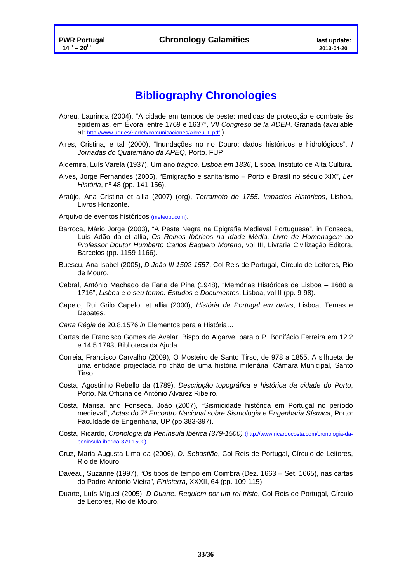## **Bibliography Chronologies**

- Abreu, Laurinda (2004), "A cidade em tempos de peste: medidas de protecção e combate às epidemias, em Évora, entre 1769 e 1637", *VII Congreso de la ADEH*, Granada (available at: http://www.ugr.es/~adeh/comunicaciones/Abreu\_L.pdf.).
- Aires, Cristina, e tal (2000), "Inundações no rio Douro: dados históricos e hidrológicos", *I Jornadas do Quaternário da APEQ*, Porto, FUP
- Aldemira, Luís Varela (1937), Um ano *trágico. Lisboa em 1836*, Lisboa, Instituto de Alta Cultura.
- Alves, Jorge Fernandes (2005), "Emigração e sanitarismo Porto e Brasil no século XIX", *Ler História*, nº 48 (pp. 141-156).
- Araújo, Ana Cristina et allia (2007) (org), *Terramoto de 1755. Impactos Históricos*, Lisboa, Livros Horizonte.

Arquivo de eventos históricos (meteopt.com).

- Barroca, Mário Jorge (2003), "A Peste Negra na Epigrafia Medieval Portuguesa", in Fonseca, Luís Adão da et allia, *Os Reinos Ibéricos na Idade Média. Livro de Homenagem ao Professor Doutor Humberto Carlos Baquero Moreno*, vol III, Livraria Civilização Editora, Barcelos (pp. 1159-1166).
- Buescu, Ana Isabel (2005), *D João III 1502-1557*, Col Reis de Portugal, Círculo de Leitores, Rio de Mouro.
- Cabral, António Machado de Faria de Pina (1948), "Memórias Históricas de Lisboa 1680 a 1716", *Lisboa e o seu termo. Estudos e Documentos*, Lisboa, vol II (pp. 9-98).
- Capelo, Rui Grilo Capelo, et allia (2000), *História de Portugal em datas*, Lisboa, Temas e Debates.
- *Carta Régia* de 20.8.1576 *in* Elementos para a História…
- Cartas de Francisco Gomes de Avelar, Bispo do Algarve, para o P. Bonifácio Ferreira em 12.2 e 14.5.1793, Biblioteca da Ajuda
- Correia, Francisco Carvalho (2009), O Mosteiro de Santo Tirso, de 978 a 1855. A silhueta de uma entidade projectada no chão de uma história milenária, Câmara Municipal, Santo Tirso.
- Costa, Agostinho Rebello da (1789), *Descripção topográfica e histórica da cidade do Porto*, Porto, Na Officina de António Alvarez Ribeiro.
- Costa, Marisa, and Fonseca, João (2007), "Sismicidade histórica em Portugal no período medieval", *Actas do 7º Encontro Nacional sobre Sismologia e Engenharia Sísmica*, Porto: Faculdade de Engenharia, UP (pp.383-397).
- Costa, Ricardo, *Cronologia da Península Ibérica (379-1500)* (http://www.ricardocosta.com/cronologia-dapeninsula-iberica-379-1500).
- Cruz, Maria Augusta Lima da (2006), *D. Sebastião*, Col Reis de Portugal, Círculo de Leitores, Rio de Mouro
- Daveau, Suzanne (1997), "Os tipos de tempo em Coimbra (Dez. 1663 Set. 1665), nas cartas do Padre António Vieira", *Finisterra*, XXXII, 64 (pp. 109-115)
- Duarte, Luís Miguel (2005), *D Duarte. Requiem por um rei triste*, Col Reis de Portugal, Círculo de Leitores, Rio de Mouro.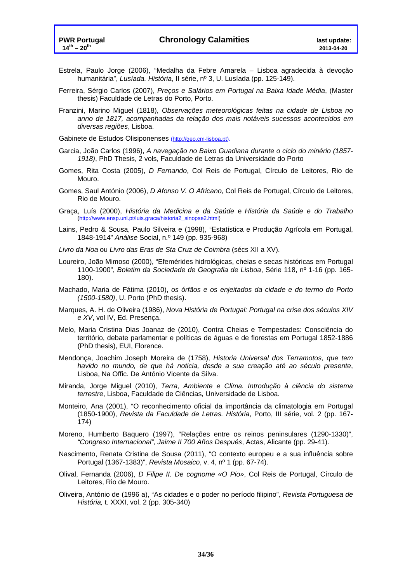- Estrela, Paulo Jorge (2006), "Medalha da Febre Amarela Lisboa agradecida à devoção humanitária", *Lusíada. História*, II série, nº 3, U. Lusíada (pp. 125-149).
- Ferreira, Sérgio Carlos (2007), *Preços e Salários em Portugal na Baixa Idade Média*, (Master thesis) Faculdade de Letras do Porto, Porto.
- Franzini, Marino Miguel (1818), *Observações meteorológicas feitas na cidade de Lisboa no anno de 1817, acompanhadas da relação dos mais notáveis sucessos acontecidos em diversas regiões*, Lisboa.
- Gabinete de Estudos Olisiponenses (http://geo.cm-lisboa.pt).
- Garcia, João Carlos (1996), *A navegação no Baixo Guadiana durante o ciclo do minério (1857- 1918)*, PhD Thesis, 2 vols, Faculdade de Letras da Universidade do Porto
- Gomes, Rita Costa (2005), *D Fernando*, Col Reis de Portugal, Círculo de Leitores, Rio de Mouro.
- Gomes, Saul António (2006), *D Afonso V. O Africano,* Col Reis de Portugal, Círculo de Leitores, Rio de Mouro.
- Graça, Luís (2000), *História da Medicina e da Saúde* e *História da Saúde e do Trabalho*  (http://www.ensp.unl.pt/luis.graca/historia2\_sinopse2.html)
- Lains, Pedro & Sousa, Paulo Silveira e (1998), "Estatística e Produção Agrícola em Portugal, 1848-1914" *Análise* Social, n.º 149 (pp. 935-968)
- *Livro da Noa* ou *Livro das Eras de Sta Cruz de Coimbra* (sécs XII a XV).
- Loureiro, João Mimoso (2000), "Efemérides hidrológicas, cheias e secas históricas em Portugal 1100-1900", *Boletim da Sociedade de Geografia de Lisboa*, Série 118, nº 1-16 (pp. 165- 180).
- Machado, Maria de Fátima (2010), *os órfãos e os enjeitados da cidade e do termo do Porto (1500-1580)*, U. Porto (PhD thesis).
- Marques, A. H. de Oliveira (1986), *Nova História de Portugal: Portugal na crise dos séculos XIV e XV*, vol IV, Ed. Presença.
- Melo, Maria Cristina Dias Joanaz de (2010), Contra Cheias e Tempestades: Consciência do território, debate parlamentar e políticas de águas e de florestas em Portugal 1852-1886 (PhD thesis), EUI, Florence.
- Mendonça, Joachim Joseph Moreira de (1758), *Historia Universal dos Terramotos, que tem havido no mundo, de que há noticia, desde a sua creação até ao século presente*, Lisboa, Na Offic. De António Vicente da Silva.
- Miranda, Jorge Miguel (2010), *Terra, Ambiente e Clima. Introdução à ciência do sistema terrestre*, Lisboa, Faculdade de Ciências, Universidade de Lisboa.
- Monteiro, Ana (2001), "O reconhecimento oficial da importância da climatologia em Portugal (1850-1900), *Revista da Faculdade de Letras. História*, Porto, III série, vol. 2 (pp. 167- 174)
- Moreno, Humberto Baquero (1997), "Relações entre os reinos peninsulares (1290-1330)", *"Congreso Internacional", Jaime II 700 Años Después*, Actas, Alicante (pp. 29-41).
- Nascimento, Renata Cristina de Sousa (2011), "O contexto europeu e a sua influência sobre Portugal (1367-1383)", *Revista Mosaico*, v. 4, nº 1 (pp. 67-74).
- Olival, Fernanda (2006), *D Filipe II. De cognome «O Pio»*, Col Reis de Portugal, Círculo de Leitores, Rio de Mouro.
- Oliveira, António de (1996 a), "As cidades e o poder no período filipino", *Revista Portuguesa de História,* t. XXXI, vol. 2 (pp. 305-340)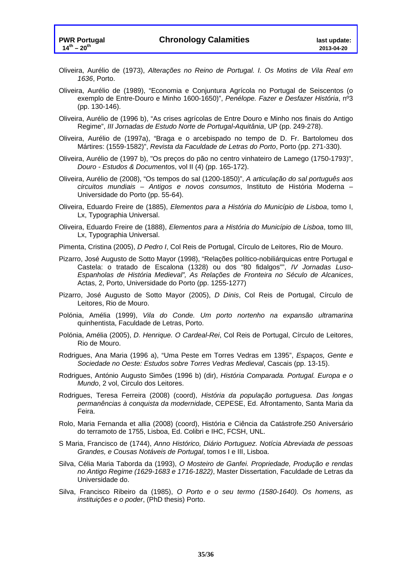- Oliveira, Aurélio de (1973), *Alterações no Reino de Portugal. I. Os Motins de Vila Real em 1636*, Porto.
- Oliveira, Aurélio de (1989), "Economia e Conjuntura Agrícola no Portugal de Seiscentos (o exemplo de Entre-Douro e Minho 1600-1650)", *Penélope. Fazer e Desfazer História*, nº3 (pp. 130-146).
- Oliveira, Aurélio de (1996 b), "As crises agrícolas de Entre Douro e Minho nos finais do Antigo Regime", *III Jornadas de Estudo Norte de Portugal-Aquitânia*, UP (pp. 249-278).
- Oliveira, Aurélio de (1997a), "Braga e o arcebispado no tempo de D. Fr. Bartolomeu dos Mártires: (1559-1582)", *Revista da Faculdade de Letras do Porto*, Porto (pp. 271-330).
- Oliveira, Aurélio de (1997 b), "Os preços do pão no centro vinhateiro de Lamego (1750-1793)", *Douro - Estudos & Documento*s, vol II (4) (pp. 165-172).
- Oliveira, Aurélio de (2008), "Os tempos do sal (1200-1850)", *A articulação do sal português aos circuitos mundiais – Antigos e novos consumos*, Instituto de História Moderna – Universidade do Porto (pp. 55-64).
- Oliveira, Eduardo Freire de (1885), *Elementos para a História do Município de Lisboa*, tomo I, Lx, Typographia Universal.
- Oliveira, Eduardo Freire de (1888), *Elementos para a História do Município de Lisboa*, tomo III, Lx, Typographia Universal.
- Pimenta, Cristina (2005), *D Pedro I*, Col Reis de Portugal, Círculo de Leitores, Rio de Mouro.
- Pizarro, José Augusto de Sotto Mayor (1998), "Relações político-nobiliárquicas entre Portugal e Castela: o tratado de Escalona (1328) ou dos "80 fidalgos"", *IV Jornadas Luso-Espanholas de História Medieval", As Relações de Fronteira no Século de Alcanices*, Actas, 2, Porto, Universidade do Porto (pp. 1255-1277)
- Pizarro, José Augusto de Sotto Mayor (2005), *D Dinis*, Col Reis de Portugal, Círculo de Leitores, Rio de Mouro.
- Polónia, Amélia (1999), *Vila do Conde. Um porto nortenho na expansão ultramarina*  quinhentista, Faculdade de Letras, Porto.
- Polónia, Amélia (2005), *D. Henrique. O Cardeal-Rei*, Col Reis de Portugal, Círculo de Leitores, Rio de Mouro.
- Rodrigues, Ana Maria (1996 a), "Uma Peste em Torres Vedras em 1395", *Espaços, Gente e Sociedade no Oeste: Estudos sobre Torres Vedras Medieval*, Cascais (pp. 13-15).
- Rodrigues, António Augusto Simões (1996 b) (dir), *História Comparada. Portugal. Europa e o Mundo*, 2 vol, Circulo dos Leitores.
- Rodrigues, Teresa Ferreira (2008) (coord), *História da população portuguesa. Das longas permanências à conquista da modernidade*, CEPESE, Ed. Afrontamento, Santa Maria da Feira.
- Rolo, Maria Fernanda et allia (2008) (coord), História e Ciência da Catástrofe.250 Aniversário do terramoto de 1755, Lisboa, Ed. Colibri e IHC, FCSH, UNL.
- S Maria, Francisco de (1744), *Anno Histórico, Diário Portuguez. Notícia Abreviada de pessoas Grandes, e Cousas Notáveis de Portugal*, tomos I e III, Lisboa.
- Silva, Célia Maria Taborda da (1993), *O Mosteiro de Ganfei. Propriedade, Produção e rendas no Antigo Regime (1629-1683 e 1716-1822)*, Master Dissertation, Faculdade de Letras da Universidade do.
- Silva, Francisco Ribeiro da (1985), *O Porto e o seu termo (1580-1640). Os homens, as instituições e o poder*, (PhD thesis) Porto.